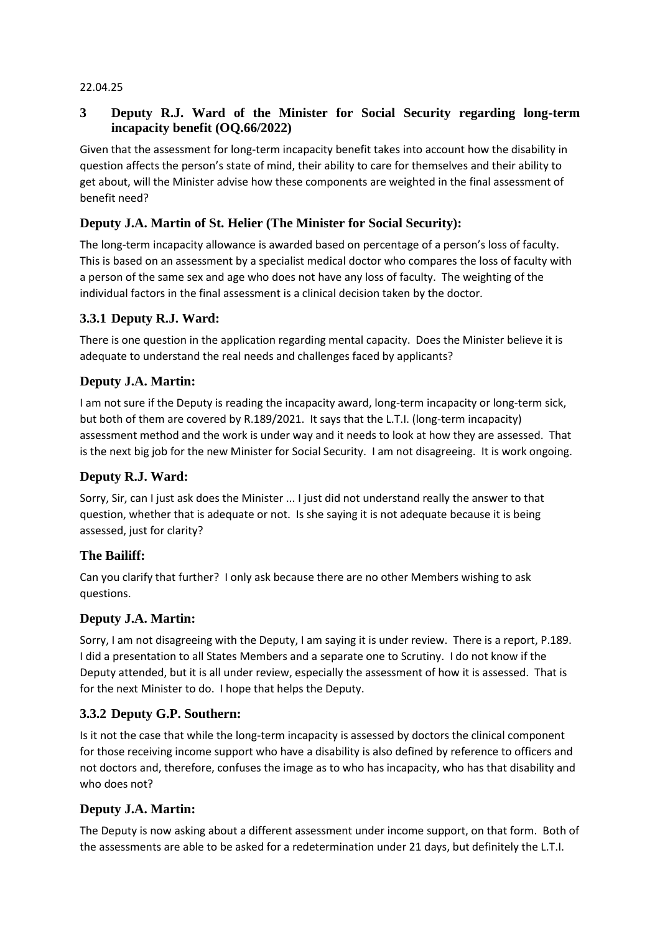#### 22.04.25

### **3 Deputy R.J. Ward of the Minister for Social Security regarding long-term incapacity benefit (OQ.66/2022)**

Given that the assessment for long-term incapacity benefit takes into account how the disability in question affects the person's state of mind, their ability to care for themselves and their ability to get about, will the Minister advise how these components are weighted in the final assessment of benefit need?

### **Deputy J.A. Martin of St. Helier (The Minister for Social Security):**

The long-term incapacity allowance is awarded based on percentage of a person's loss of faculty. This is based on an assessment by a specialist medical doctor who compares the loss of faculty with a person of the same sex and age who does not have any loss of faculty. The weighting of the individual factors in the final assessment is a clinical decision taken by the doctor.

#### **3.3.1 Deputy R.J. Ward:**

There is one question in the application regarding mental capacity. Does the Minister believe it is adequate to understand the real needs and challenges faced by applicants?

### **Deputy J.A. Martin:**

I am not sure if the Deputy is reading the incapacity award, long-term incapacity or long-term sick, but both of them are covered by R.189/2021. It says that the L.T.I. (long-term incapacity) assessment method and the work is under way and it needs to look at how they are assessed. That is the next big job for the new Minister for Social Security. I am not disagreeing. It is work ongoing.

#### **Deputy R.J. Ward:**

Sorry, Sir, can I just ask does the Minister ... I just did not understand really the answer to that question, whether that is adequate or not. Is she saying it is not adequate because it is being assessed, just for clarity?

#### **The Bailiff:**

Can you clarify that further? I only ask because there are no other Members wishing to ask questions.

#### **Deputy J.A. Martin:**

Sorry, I am not disagreeing with the Deputy, I am saying it is under review. There is a report, P.189. I did a presentation to all States Members and a separate one to Scrutiny. I do not know if the Deputy attended, but it is all under review, especially the assessment of how it is assessed. That is for the next Minister to do. I hope that helps the Deputy.

#### **3.3.2 Deputy G.P. Southern:**

Is it not the case that while the long-term incapacity is assessed by doctors the clinical component for those receiving income support who have a disability is also defined by reference to officers and not doctors and, therefore, confuses the image as to who has incapacity, who has that disability and who does not?

# **Deputy J.A. Martin:**

The Deputy is now asking about a different assessment under income support, on that form. Both of the assessments are able to be asked for a redetermination under 21 days, but definitely the L.T.I.